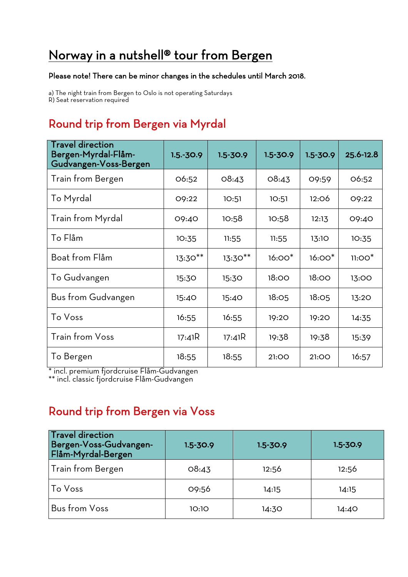# Norway in a nutshell® tour from Bergen

#### Please note! There can be minor changes in the schedules until March 2018.

a) The night train from Bergen to Oslo is not operating Saturdays R) Seat reservation required

## Round trip from Bergen via Myrdal

| <b>Travel direction</b><br>Bergen-Myrdal-Flåm-<br>Gudvangen-Voss-Bergen | $1.5.-30.9$ | $1.5 - 30.9$ | $1.5 - 30.9$ | $1.5 - 30.9$ | 25.6-12.8 |
|-------------------------------------------------------------------------|-------------|--------------|--------------|--------------|-----------|
| Train from Bergen                                                       | O6:52       | O8:43        | O8:43        | 09:59        | O6:52     |
| To Myrdal                                                               | O9:22       | 10:51        | 10:51        | 12:06        | O9:22     |
| <b>Train from Myrdal</b>                                                | 09:40       | 10:58        | 10:58        | 12:13        | 09:40     |
| To Flåm                                                                 | 10:35       | 11:55        | 11:55        | 13:10        | 10:35     |
| Boat from Flåm                                                          | $13:30**$   | $13:30**$    | $16:00*$     | $16:00*$     | $11:OO*$  |
| To Gudvangen                                                            | 15:30       | 15:30        | 18:00        | 18:00        | 13:00     |
| Bus from Gudvangen                                                      | 15:40       | 15:40        | 18:05        | 18:05        | 13:20     |
| To Voss                                                                 | 16:55       | 16:55        | 19:20        | 19:20        | 14:35     |
| <b>Train from Voss</b>                                                  | 17:41R      | 17:41R       | 19:38        | 19:38        | 15:39     |
| To Bergen                                                               | 18:55       | 18:55        | 21:00        | 21:00        | 16:57     |

\* incl. premium fjordcruise Flåm-Gudvangen

\*\* incl. classic fjordcruise Flåm-Gudvangen

### Round trip from Bergen via Voss

| <b>Travel direction</b><br>Bergen-Voss-Gudvangen-<br>Flåm-Myrdal-Bergen | $1.5 - 30.9$ | $1.5 - 30.9$ | $1.5 - 30.9$ |
|-------------------------------------------------------------------------|--------------|--------------|--------------|
| Train from Bergen                                                       | O8:43        | 12:56        | 12:56        |
| To Voss                                                                 | 09:56        | 14:15        | 14:15        |
| <b>Bus from Voss</b>                                                    | 10:10        | 14:30        | 14:40        |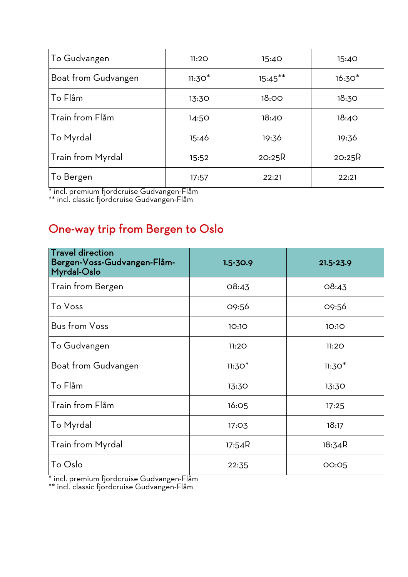| To Gudvangen        | 11:20    | 15:40      | 15:40    |
|---------------------|----------|------------|----------|
| Boat from Gudvangen | $11:30*$ | $15:45***$ | $16:30*$ |
| To Flåm             | 13:30    | 18:00      | 18:30    |
| Train from Flåm     | 14:50    | 18:40      | 18:40    |
| To Myrdal           | 15:46    | 19:36      | 19:36    |
| Train from Myrdal   | 15:52    | 2O:25R     | 2O:25R   |
| To Bergen           | 17:57    | 22:21      | 22:21    |

\* incl. premium fjordcruise Gudvangen-Flåm

\*\* incl. classic fjordcruise Gudvangen-Flåm

## One-way trip from Bergen to Oslo

| <b>Travel direction</b><br>Bergen-Voss-Gudvangen-Flåm-<br>Myrdal-Oslo | $1.5 - 30.9$ | $21.5 - 23.9$ |
|-----------------------------------------------------------------------|--------------|---------------|
| Train from Bergen                                                     | 08:43        | O8:43         |
| To Voss                                                               | 09:56        | 09:56         |
| <b>Bus from Voss</b>                                                  | 10:10        | 10:10         |
| To Gudvangen                                                          | 11:20        | 11:20         |
| Boat from Gudvangen                                                   | $11:30*$     | $11:30*$      |
| To Flåm                                                               | 13:30        | 13:30         |
| Train from Flåm                                                       | <b>16:05</b> | 17:25         |
| To Myrdal                                                             | 17:03        | 18:17         |
| <b>Train from Myrdal</b>                                              | 17:54R       | 18:34R        |
| To Oslo                                                               | 22:35        | 00:05         |

\* incl. premium fjordcruise Gudvangen-Flåm

\*\* incl. classic fjordcruise Gudvangen-Flåm